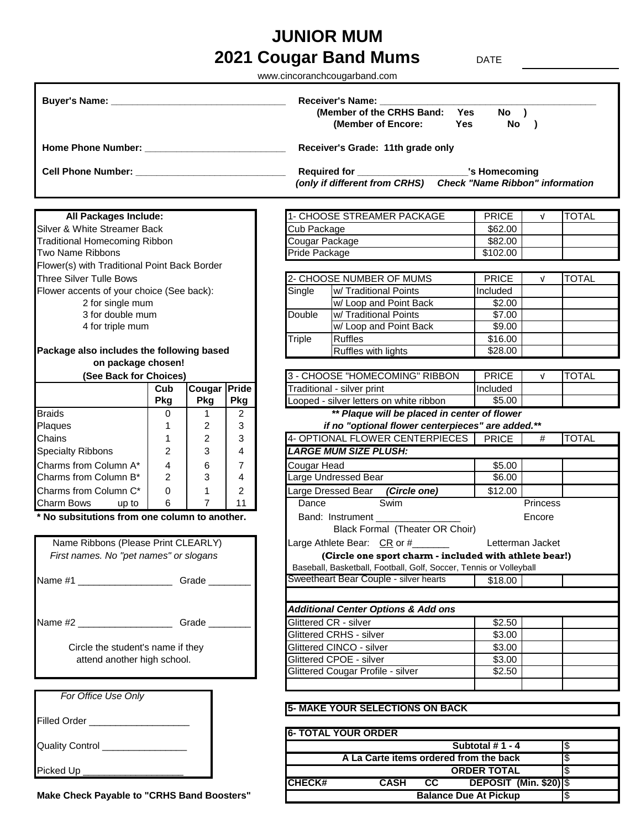## **2021 Cougar Band Mums** DATE **JUNIOR MUM**

www.cincoranchcougarband.com

|                                                                    |                |                |                |                                                                                                                                                                                                                                                                                                                                                               | <b>Receiver's Name:</b>                                            |                                                               |            |              |
|--------------------------------------------------------------------|----------------|----------------|----------------|---------------------------------------------------------------------------------------------------------------------------------------------------------------------------------------------------------------------------------------------------------------------------------------------------------------------------------------------------------------|--------------------------------------------------------------------|---------------------------------------------------------------|------------|--------------|
|                                                                    |                |                |                |                                                                                                                                                                                                                                                                                                                                                               | (Member of the CRHS Band: Yes                                      | No )                                                          |            |              |
|                                                                    |                |                |                |                                                                                                                                                                                                                                                                                                                                                               | (Member of Encore:                                                 | Yes<br>No )                                                   |            |              |
|                                                                    |                |                |                |                                                                                                                                                                                                                                                                                                                                                               | Receiver's Grade: 11th grade only                                  |                                                               |            |              |
|                                                                    |                |                |                |                                                                                                                                                                                                                                                                                                                                                               | Required for ______________________________'s Homecoming           |                                                               |            |              |
|                                                                    |                |                |                |                                                                                                                                                                                                                                                                                                                                                               | (only if different from CRHS)                                      | <b>Check "Name Ribbon" information</b>                        |            |              |
|                                                                    |                |                |                |                                                                                                                                                                                                                                                                                                                                                               |                                                                    |                                                               |            |              |
| All Packages Include:                                              |                |                |                |                                                                                                                                                                                                                                                                                                                                                               | 1- CHOOSE STREAMER PACKAGE                                         | <b>PRICE</b>                                                  | $\sqrt{ }$ | <b>TOTAL</b> |
| Silver & White Streamer Back                                       |                |                |                | Cub Package                                                                                                                                                                                                                                                                                                                                                   |                                                                    | \$62.00                                                       |            |              |
| <b>Traditional Homecoming Ribbon</b>                               |                |                |                | Cougar Package                                                                                                                                                                                                                                                                                                                                                |                                                                    | \$82.00                                                       |            |              |
| Two Name Ribbons<br>Flower(s) with Traditional Point Back Border   |                |                |                | Pride Package                                                                                                                                                                                                                                                                                                                                                 |                                                                    | \$102.00                                                      |            |              |
| Three Silver Tulle Bows                                            |                |                |                |                                                                                                                                                                                                                                                                                                                                                               | 2- CHOOSE NUMBER OF MUMS                                           | <b>PRICE</b>                                                  | $\sqrt{ }$ | <b>TOTAL</b> |
| Flower accents of your choice (See back):                          |                |                |                | Single                                                                                                                                                                                                                                                                                                                                                        | w/ Traditional Points                                              | Included                                                      |            |              |
| 2 for single mum                                                   |                |                |                |                                                                                                                                                                                                                                                                                                                                                               | w/ Loop and Point Back                                             | \$2.00                                                        |            |              |
| 3 for double mum                                                   |                |                |                | Double                                                                                                                                                                                                                                                                                                                                                        | w/ Traditional Points                                              | \$7.00                                                        |            |              |
| 4 for triple mum                                                   |                |                |                |                                                                                                                                                                                                                                                                                                                                                               | w/ Loop and Point Back                                             | \$9.00                                                        |            |              |
|                                                                    |                |                |                |                                                                                                                                                                                                                                                                                                                                                               |                                                                    |                                                               |            |              |
| Package also includes the following based                          |                |                |                |                                                                                                                                                                                                                                                                                                                                                               | Ruffles with lights                                                | \$28.00                                                       |            |              |
| on package chosen!                                                 |                |                |                |                                                                                                                                                                                                                                                                                                                                                               |                                                                    |                                                               |            |              |
| (See Back for Choices)                                             |                |                |                |                                                                                                                                                                                                                                                                                                                                                               |                                                                    | <b>PRICE</b>                                                  | $\sqrt{ }$ | <b>TOTAL</b> |
|                                                                    | Cub            | Cougar Pride   |                |                                                                                                                                                                                                                                                                                                                                                               |                                                                    | Included                                                      |            |              |
|                                                                    | <b>Pkg</b>     | Pkg            | <b>Pkg</b>     |                                                                                                                                                                                                                                                                                                                                                               |                                                                    | $\overline{$}5.00$                                            |            |              |
| <b>Braids</b>                                                      | 0              | $\mathbf{1}$   | $\overline{2}$ | Triple<br>Ruffles<br>\$16.00<br>3 - CHOOSE "HOMECOMING" RIBBON<br>Traditional - silver print<br>Looped - silver letters on white ribbon<br>** Plaque will be placed in center of flower<br>if no "optional flower centerpieces" are added.**<br>4- OPTIONAL FLOWER CENTERPIECES<br><b>PRICE</b><br>#<br><b>LARGE MUM SIZE PLUSH:</b><br>\$5.00<br>Cougar Head |                                                                    |                                                               |            |              |
| Plaques                                                            | 1              | 2              | 3              |                                                                                                                                                                                                                                                                                                                                                               |                                                                    |                                                               |            |              |
| Chains                                                             | $\mathbf{1}$   | 2              | 3              |                                                                                                                                                                                                                                                                                                                                                               |                                                                    |                                                               |            | <b>TOTAL</b> |
| <b>Specialty Ribbons</b>                                           | $\overline{2}$ | 3              | $\overline{4}$ |                                                                                                                                                                                                                                                                                                                                                               |                                                                    |                                                               |            |              |
| Charms from Column A*                                              | $\overline{4}$ | 6              | $\overline{7}$ |                                                                                                                                                                                                                                                                                                                                                               |                                                                    |                                                               |            |              |
| Charms from Column B*                                              | 2              | 3              | $\overline{4}$ |                                                                                                                                                                                                                                                                                                                                                               | Large Undressed Bear                                               | \$6.00                                                        |            |              |
| Charms from Column C*                                              | $\mathbf 0$    | 1              | 2              |                                                                                                                                                                                                                                                                                                                                                               | Large Dressed Bear (Circle one)                                    | \$12.00                                                       |            |              |
| Charm Bows<br>up to                                                | 6              | $\overline{7}$ | 11             | Dance                                                                                                                                                                                                                                                                                                                                                         | Swim                                                               |                                                               | Princess   |              |
| No subsitutions from one column to another.                        |                |                |                |                                                                                                                                                                                                                                                                                                                                                               | Band: Instrument _____                                             |                                                               | Encore     |              |
|                                                                    |                |                |                |                                                                                                                                                                                                                                                                                                                                                               | Black Formal (Theater OR Choir)                                    |                                                               |            |              |
| Name Ribbons (Please Print CLEARLY)                                |                |                |                |                                                                                                                                                                                                                                                                                                                                                               | Large Athlete Bear: CR or #_______                                 | Letterman Jacket                                              |            |              |
| First names. No "pet names" or slogans                             |                |                |                |                                                                                                                                                                                                                                                                                                                                                               | (Circle one sport charm - included with athlete bear!)             |                                                               |            |              |
|                                                                    |                |                |                |                                                                                                                                                                                                                                                                                                                                                               | Baseball, Basketball, Football, Golf, Soccer, Tennis or Volleyball |                                                               |            |              |
| Name #1 _______________________Grade _____                         |                |                |                |                                                                                                                                                                                                                                                                                                                                                               | Sweetheart Bear Couple - silver hearts                             | \$18.00                                                       |            |              |
|                                                                    |                |                |                |                                                                                                                                                                                                                                                                                                                                                               | <b>Additional Center Options &amp; Add ons</b>                     |                                                               |            |              |
| Name #2 ______________________________Grade ______                 |                |                |                |                                                                                                                                                                                                                                                                                                                                                               | Glittered CR - silver                                              | \$2.50                                                        |            |              |
|                                                                    |                |                |                |                                                                                                                                                                                                                                                                                                                                                               | Glittered CRHS - silver                                            | \$3.00                                                        |            |              |
| Circle the student's name if they                                  |                |                |                |                                                                                                                                                                                                                                                                                                                                                               | Glittered CINCO - silver                                           | \$3.00                                                        |            |              |
| attend another high school.                                        |                |                |                |                                                                                                                                                                                                                                                                                                                                                               | Glittered CPOE - silver                                            | \$3.00                                                        |            |              |
|                                                                    |                |                |                |                                                                                                                                                                                                                                                                                                                                                               | Glittered Cougar Profile - silver                                  | \$2.50                                                        |            |              |
|                                                                    |                |                |                |                                                                                                                                                                                                                                                                                                                                                               |                                                                    |                                                               |            |              |
| For Office Use Only                                                |                |                |                |                                                                                                                                                                                                                                                                                                                                                               |                                                                    |                                                               |            |              |
|                                                                    |                |                |                |                                                                                                                                                                                                                                                                                                                                                               | <b>5- MAKE YOUR SELECTIONS ON BACK</b>                             |                                                               |            |              |
|                                                                    |                |                |                |                                                                                                                                                                                                                                                                                                                                                               |                                                                    |                                                               |            |              |
|                                                                    |                |                |                |                                                                                                                                                                                                                                                                                                                                                               | <b>6- TOTAL YOUR ORDER</b>                                         |                                                               |            |              |
| Quality Control _________________                                  |                |                |                |                                                                                                                                                                                                                                                                                                                                                               |                                                                    | Subtotal #1 - 4                                               |            | l\$          |
|                                                                    |                |                |                |                                                                                                                                                                                                                                                                                                                                                               | A La Carte items ordered from the back                             | <b>ORDER TOTAL</b>                                            |            | Φ<br>Ι\$     |
|                                                                    |                |                |                |                                                                                                                                                                                                                                                                                                                                                               |                                                                    |                                                               |            |              |
|                                                                    |                |                |                |                                                                                                                                                                                                                                                                                                                                                               |                                                                    |                                                               |            |              |
| Picked Up __________<br>Make Check Payable to "CRHS Band Boosters" |                |                |                | <b>CHECK#</b>                                                                                                                                                                                                                                                                                                                                                 | <b>CASH</b><br>$\overline{\text{cc}}$                              | <b>DEPOSIT (Min. \$20) \$</b><br><b>Balance Due At Pickup</b> |            | \$           |